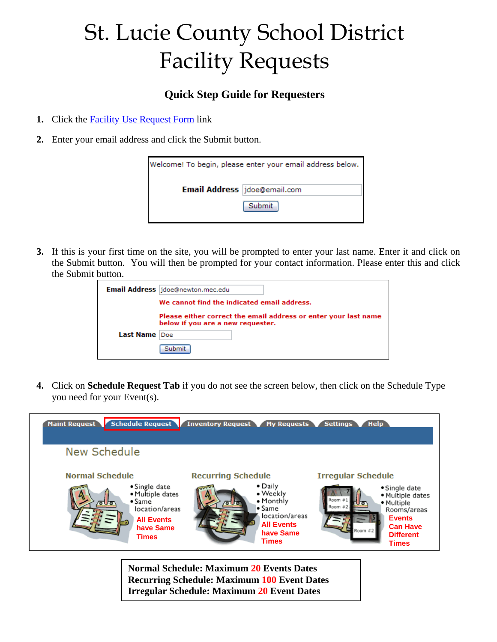## St. Lucie County School District Facility Requests

## **Quick Step Guide for Requesters**

- **1.** Click the Facility Use Request Form link
- **2.** Enter your email address and click the Submit button.

| Welcome! To begin, please enter your email address below. |        |  |  |  |
|-----------------------------------------------------------|--------|--|--|--|
| Email Address jdoe@email.com                              |        |  |  |  |
|                                                           | Submit |  |  |  |

**3.** If this is your first time on the site, you will be prompted to enter your last name. Enter it and click on the Submit button. You will then be prompted for your contact information. Please enter this and click the Submit button.

|               | Email Address jdoe@newton.mec.edu                                                                    |
|---------------|------------------------------------------------------------------------------------------------------|
|               | We cannot find the indicated email address.                                                          |
|               | Please either correct the email address or enter your last name<br>below if you are a new requester. |
| Last Name Doe |                                                                                                      |
|               | Submit                                                                                               |

**4.** Click on **Schedule Request Tab** if you do not see the screen below, then click on the Schedule Type you need for your Event(s).



**Normal Schedule: Maximum 20 Events Dates Recurring Schedule: Maximum 100 Event Dates Irregular Schedule: Maximum 20 Event Dates**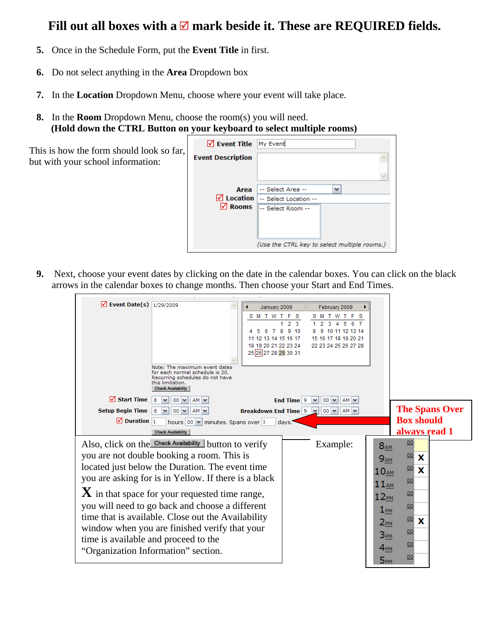## Fill out all boxes with a  $\blacksquare$  mark beside it. These are REQUIRED fields.

- **5.** Once in the Schedule Form, put the **Event Title** in first.
- **6.** Do not select anything in the **Area** Dropdown box
- **7.** In the **Location** Dropdown Menu, choose where your event will take place.
- **8.** In the **Room** Dropdown Menu, choose the room(s) you will need. **(Hold down the CTRL Button on your keyboard to select multiple rooms)**

 $\Gamma$ 

| This is how the form should look so far, |
|------------------------------------------|
| but with your school information:        |

| V Event Title My Event   |                                              |
|--------------------------|----------------------------------------------|
| <b>Event Description</b> |                                              |
|                          |                                              |
|                          | Area   -- Select Area --                     |
| $\blacksquare$ Location  | -- Select Location --                        |
| <b>⊠</b> Rooms           | -- Select Room --                            |
|                          | (Use the CTRL key to select multiple rooms.) |

**9.** Next, choose your event dates by clicking on the date in the calendar boxes. You can click on the black arrows in the calendar boxes to change months. Then choose your Start and End Times.

| $\sqrt{ }$ Event Date(s) $\frac{1}{29/2009}$                                       | Note: The maximum event dates<br>for each normal schedule is 20.<br>Recurring schedules do not have<br>this limitation.<br><b>Check Availability</b>                                                                                                                                                                                                                                                                                                                                                              | January 2009<br><b>SMTWTFS</b><br>2 <sub>3</sub><br>7<br>8<br>9 10<br>6<br>11 12 13 14 15 16 17<br>18 19 20 21 22 23 24<br>25 26 27 28 29 30 31 | February 2009<br><b>SMTWTFS</b><br>2<br>з<br>к<br>6<br>10 11 12 13 14<br>-9<br>15 16 17 18 19 20 21<br>22 23 24 25 26 27 28 |                                                                                                                                                     |                                                                         |
|------------------------------------------------------------------------------------|-------------------------------------------------------------------------------------------------------------------------------------------------------------------------------------------------------------------------------------------------------------------------------------------------------------------------------------------------------------------------------------------------------------------------------------------------------------------------------------------------------------------|-------------------------------------------------------------------------------------------------------------------------------------------------|-----------------------------------------------------------------------------------------------------------------------------|-----------------------------------------------------------------------------------------------------------------------------------------------------|-------------------------------------------------------------------------|
| $\sqrt{ }$ Start Time<br><b>Setup Begin Time</b><br>$\sqrt{2}$ Duration $\sqrt{1}$ | 00 <sub>1</sub><br>$AM$ $\vee$<br>$AM$ $\vee$<br>$00\vert\vee$<br>8<br>hours 00  v   minutes. Spans over  1<br><b>Check Availability</b>                                                                                                                                                                                                                                                                                                                                                                          | End Time $ 9$<br><b>Breakdown End Time 9</b><br>davs.                                                                                           | $00 \times$<br>$AM \vee$<br>٧<br>$00 \vee$<br>AM V<br>$\checkmark$                                                          |                                                                                                                                                     | <b>The Spans Over</b><br><b>Box should</b><br>always read 1             |
|                                                                                    | Also, click on the Check Availability button to verify<br>you are not double booking a room. This is<br>located just below the Duration. The event time<br>you are asking for is in Yellow. If there is a black<br>$\bf{X}$ in that space for your requested time range,<br>you will need to go back and choose a different<br>time that is available. Close out the Availability<br>window when you are finished verify that your<br>time is available and proceed to the<br>"Organization Information" section. |                                                                                                                                                 | Example:                                                                                                                    | $8_{AM}$<br>$9_{AM}$<br>10 <sub>AM</sub><br>11 <sub>AM</sub><br>$12_{PM}$<br>$1_{PM}$<br>$2_{PM}$<br>3 <sub>PM</sub><br>$4_{PM}$<br>5 <sub>PM</sub> | 00<br>00<br>x<br>00<br>X<br>00<br>00<br>00<br>00<br>X<br>00<br>00<br>00 |